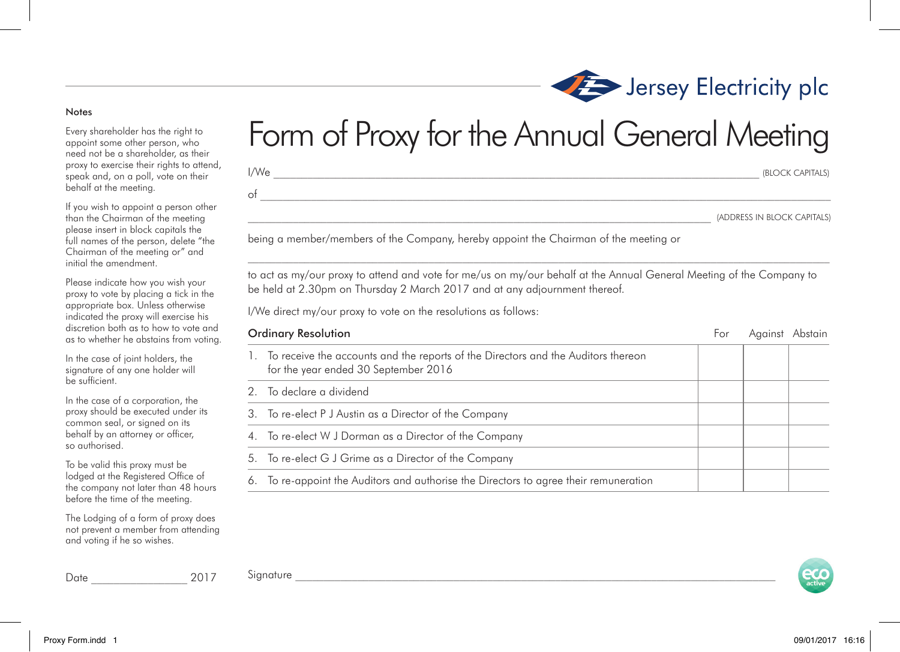## Notes

Every shareholder has the right to appoint some other person, who need not be a shareholder, as their proxy to exercise their rights to attend, speak and, on a poll, vote on their behalf at the meeting.

If you wish to appoint a person other than the Chairman of the meeting please insert in block capitals the full names of the person, delete "the Chairman of the meeting or" and initial the amendment.

Please indicate how you wish your proxy to vote by placing a tick in the appropriate box. Unless otherwise indicated the proxy will exercise his discretion both as to how to vote and as to whether he abstains from voting.

In the case of joint holders, the signature of any one holder will be sufficient.

In the case of a corporation, the proxy should be executed under its common seal, or signed on its behalf by an attorney or officer, so authorised.

To be valid this proxy must be lodged at the Registered Office of the company not later than 48 hours before the time of the meeting.

The Lodging of a form of proxy does not prevent a member from attending and voting if he so wishes.

Date \_\_\_\_\_\_\_\_\_\_\_\_\_\_\_\_\_ 2017

## Form of Proxy for the Annual General Meeting

 $I/We$   $\qquad \qquad \qquad \qquad$  (BLOCK CAPITALS)

\_\_\_\_\_\_\_\_\_\_\_\_\_\_\_\_\_\_\_\_\_\_\_\_\_\_\_\_\_\_\_\_\_\_\_\_\_\_\_\_\_\_\_\_\_\_\_\_\_\_\_\_\_\_\_\_\_\_\_\_\_\_\_\_\_\_\_\_\_\_\_\_\_\_\_\_\_\_\_\_\_\_ (ADDRESS IN BLOCK CAPITALS)

being a member/members of the Company, hereby appoint the Chairman of the meeting or

 $\circ$  f

 $\mathcal{L}_\text{max}$ to act as my/our proxy to attend and vote for me/us on my/our behalf at the Annual General Meeting of the Company to be held at 2.30pm on Thursday 2 March 2017 and at any adjournment thereof.

I/We direct my/our proxy to vote on the resolutions as follows:

| <b>Ordinary Resolution</b> |                                                                                                                              | For | Aaainst | Abstain |
|----------------------------|------------------------------------------------------------------------------------------------------------------------------|-----|---------|---------|
|                            | 1. To receive the accounts and the reports of the Directors and the Auditors thereon<br>for the year ended 30 September 2016 |     |         |         |
|                            | 2. To declare a dividend                                                                                                     |     |         |         |
|                            | 3. To re-elect P J Austin as a Director of the Company                                                                       |     |         |         |
|                            | 4. To re-elect W J Dorman as a Director of the Company                                                                       |     |         |         |
|                            | 5. To re-elect G J Grime as a Director of the Company                                                                        |     |         |         |
| 6.                         | To re-appoint the Auditors and authorise the Directors to agree their remuneration                                           |     |         |         |





 ${\rm Signature}$